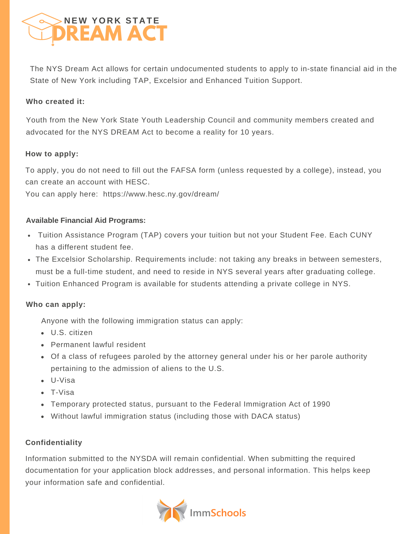

The NYS Dream Act allows for certain undocumented students to apply to in-state financial aid in the State of New York including TAP, Excelsior and Enhanced Tuition Support.

## **Who created it:**

Youth from the New York State Youth Leadership Council and community members created and advocated for the NYS DREAM Act to become a reality for 10 years.

#### **How to apply:**

To apply, you do not need to fill out the FAFSA form (unless requested by a college), instead, you can create an account with HESC.

You can apply here: https://www.hesc.ny.gov/dream/

## **Available Financial Aid Programs:**

- Tuition Assistance Program (TAP) covers your tuition but not your Student Fee. Each CUNY has a different student fee.
- The Excelsior Scholarship. Requirements include: not taking any breaks in between semesters, must be a full-time student, and need to reside in NYS several years after graduating college.
- Tuition Enhanced Program is available for students attending a private college in NYS.

#### **Who can apply:**

Anyone with the following immigration status can apply:

- U.S. citizen
- Permanent lawful resident
- Of a class of refugees paroled by the attorney general under his or her parole authority pertaining to the admission of aliens to the U.S.
- U-Visa
- T-Visa
- Temporary protected status, pursuant to the Federal Immigration Act of 1990
- Without lawful immigration status (including those with DACA status)

# **Confidentiality**

Information submitted to the NYSDA will remain confidential. When submitting the required documentation for your application block addresses, and personal information. This helps keep your information safe and confidential.